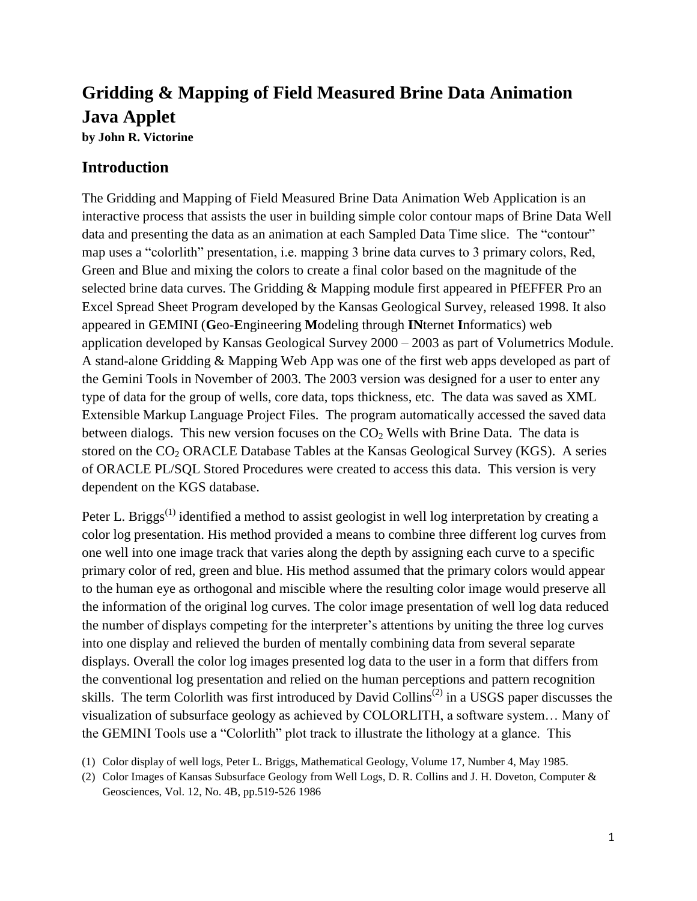# **Gridding & Mapping of Field Measured Brine Data Animation Java Applet**

**by John R. Victorine**

### **Introduction**

The Gridding and Mapping of Field Measured Brine Data Animation Web Application is an interactive process that assists the user in building simple color contour maps of Brine Data Well data and presenting the data as an animation at each Sampled Data Time slice. The "contour" map uses a "colorlith" presentation, i.e. mapping 3 brine data curves to 3 primary colors, Red, Green and Blue and mixing the colors to create a final color based on the magnitude of the selected brine data curves. The Gridding & Mapping module first appeared in PfEFFER Pro an Excel Spread Sheet Program developed by the Kansas Geological Survey, released 1998. It also appeared in GEMINI (**G**eo-**E**ngineering **M**odeling through **IN**ternet **I**nformatics) web application developed by Kansas Geological Survey 2000 – 2003 as part of Volumetrics Module. A stand-alone Gridding & Mapping Web App was one of the first web apps developed as part of the Gemini Tools in November of 2003. The 2003 version was designed for a user to enter any type of data for the group of wells, core data, tops thickness, etc. The data was saved as XML Extensible Markup Language Project Files. The program automatically accessed the saved data between dialogs. This new version focuses on the  $CO<sub>2</sub>$  Wells with Brine Data. The data is stored on the  $CO<sub>2</sub> ORACLE Database Tables$  at the Kansas Geological Survey (KGS). A series of ORACLE PL/SQL Stored Procedures were created to access this data. This version is very dependent on the KGS database.

Peter L. Briggs<sup>(1)</sup> identified a method to assist geologist in well log interpretation by creating a color log presentation. His method provided a means to combine three different log curves from one well into one image track that varies along the depth by assigning each curve to a specific primary color of red, green and blue. His method assumed that the primary colors would appear to the human eye as orthogonal and miscible where the resulting color image would preserve all the information of the original log curves. The color image presentation of well log data reduced the number of displays competing for the interpreter's attentions by uniting the three log curves into one display and relieved the burden of mentally combining data from several separate displays. Overall the color log images presented log data to the user in a form that differs from the conventional log presentation and relied on the human perceptions and pattern recognition skills. The term Colorlith was first introduced by David Collins<sup> $(2)$ </sup> in a USGS paper discusses the visualization of subsurface geology as achieved by COLORLITH, a software system… Many of the GEMINI Tools use a "Colorlith" plot track to illustrate the lithology at a glance. This

(1) Color display of well logs, Peter L. Briggs, Mathematical Geology, Volume 17, Number 4, May 1985.

(2) Color Images of Kansas Subsurface Geology from Well Logs, D. R. Collins and J. H. Doveton, Computer & Geosciences, Vol. 12, No. 4B, pp.519-526 1986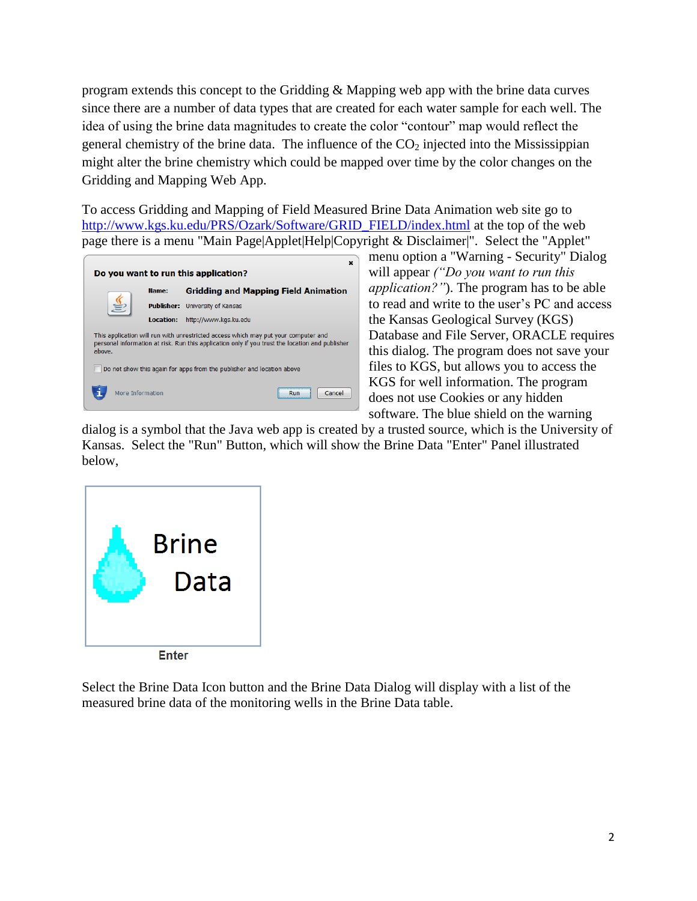program extends this concept to the Gridding & Mapping web app with the brine data curves since there are a number of data types that are created for each water sample for each well. The idea of using the brine data magnitudes to create the color "contour" map would reflect the general chemistry of the brine data. The influence of the  $CO<sub>2</sub>$  injected into the Mississippian might alter the brine chemistry which could be mapped over time by the color changes on the Gridding and Mapping Web App.

To access Gridding and Mapping of Field Measured Brine Data Animation web site go to [http://www.kgs.ku.edu/PRS/Ozark/Software/GRID\\_FIELD/index.html](http://www.kgs.ku.edu/PRS/Ozark/Software/GRID_FIELD/index.html) at the top of the web page there is a menu "Main Page|Applet|Help|Copyright & Disclaimer|". Select the "Applet"



menu option a "Warning - Security" Dialog will appear *("Do you want to run this application?"*). The program has to be able to read and write to the user's PC and access the Kansas Geological Survey (KGS) Database and File Server, ORACLE requires this dialog. The program does not save your files to KGS, but allows you to access the KGS for well information. The program does not use Cookies or any hidden software. The blue shield on the warning

dialog is a symbol that the Java web app is created by a trusted source, which is the University of Kansas. Select the "Run" Button, which will show the Brine Data "Enter" Panel illustrated below,



Select the Brine Data Icon button and the Brine Data Dialog will display with a list of the measured brine data of the monitoring wells in the Brine Data table.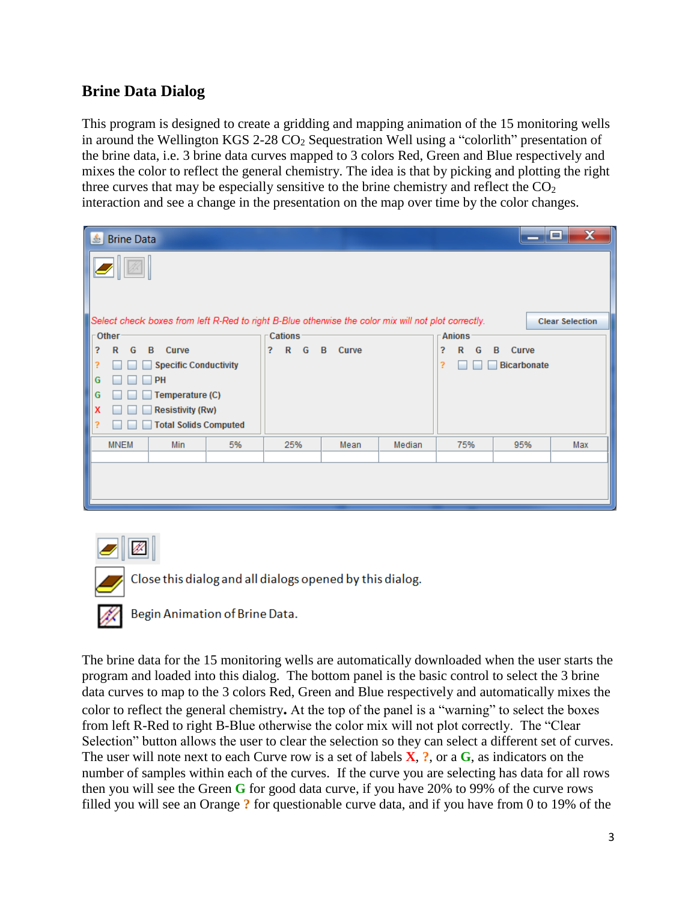## **Brine Data Dialog**

This program is designed to create a gridding and mapping animation of the 15 monitoring wells in around the Wellington KGS 2-28  $CO<sub>2</sub>$  Sequestration Well using a "colorlith" presentation of the brine data, i.e. 3 brine data curves mapped to 3 colors Red, Green and Blue respectively and mixes the color to reflect the general chemistry. The idea is that by picking and plotting the right three curves that may be especially sensitive to the brine chemistry and reflect the  $CO<sub>2</sub>$ interaction and see a change in the presentation on the map over time by the color changes.

| $\mathbf{\mathbf{\hat{E}}}$<br><b>Brine Data</b>                                                    |                                      |                        | $\mathbf x$<br>ا د ا<br>— |
|-----------------------------------------------------------------------------------------------------|--------------------------------------|------------------------|---------------------------|
|                                                                                                     |                                      |                        |                           |
| Select check boxes from left R-Red to right B-Blue otherwise the color mix will not plot correctly. |                                      |                        | <b>Clear Selection</b>    |
| $\Gamma$ Other                                                                                      | <b>Cations</b>                       | <b>Anions</b>          |                           |
| 3<br>G<br>B<br>Curve<br>$\mathbb{R}$                                                                | ?<br>G<br>$\mathbb{R}$<br>B<br>Curve | ?<br>G<br>$\mathsf{R}$ | B<br>Curve                |
| ?<br><b>Specific Conductivity</b>                                                                   |                                      | ş.                     | <b>Bicarbonate</b>        |
| G<br>PH                                                                                             |                                      |                        |                           |
| G<br>Temperature (C)                                                                                |                                      |                        |                           |
| X<br><b>Resistivity (Rw)</b>                                                                        |                                      |                        |                           |
| <b>Total Solids Computed</b><br>?                                                                   |                                      |                        |                           |
| <b>MNEM</b><br>5%<br>Min                                                                            | 25%<br>Mean                          | Median<br>75%          | 95%<br>Max                |
|                                                                                                     |                                      |                        |                           |
|                                                                                                     |                                      |                        |                           |
|                                                                                                     |                                      |                        |                           |
|                                                                                                     |                                      |                        |                           |



Close this dialog and all dialogs opened by this dialog.

Begin Animation of Brine Data.

The brine data for the 15 monitoring wells are automatically downloaded when the user starts the program and loaded into this dialog. The bottom panel is the basic control to select the 3 brine data curves to map to the 3 colors Red, Green and Blue respectively and automatically mixes the color to reflect the general chemistry**.** At the top of the panel is a "warning" to select the boxes from left R-Red to right B-Blue otherwise the color mix will not plot correctly. The "Clear Selection" button allows the user to clear the selection so they can select a different set of curves. The user will note next to each Curve row is a set of labels **X**, **?**, or a **G**, as indicators on the number of samples within each of the curves. If the curve you are selecting has data for all rows then you will see the Green **G** for good data curve, if you have 20% to 99% of the curve rows filled you will see an Orange **?** for questionable curve data, and if you have from 0 to 19% of the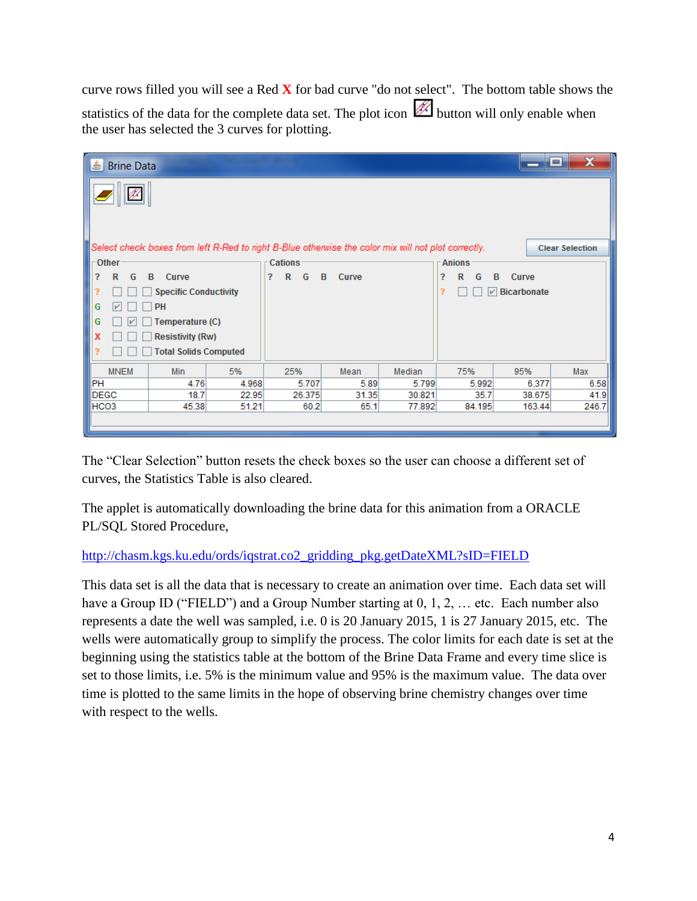curve rows filled you will see a Red **X** for bad curve "do not select". The bottom table shows the statistics of the data for the complete data set. The plot icon  $\mathbb{Z}$  button will only enable when the user has selected the 3 curves for plotting.

| 흑                | <b>Brine Data</b>                               |                              |       |                       |                                                                                                     |        |                                  |                | $\mathbf x$<br>о       |  |
|------------------|-------------------------------------------------|------------------------------|-------|-----------------------|-----------------------------------------------------------------------------------------------------|--------|----------------------------------|----------------|------------------------|--|
|                  |                                                 |                              |       |                       | Select check boxes from left R-Red to right B-Blue otherwise the color mix will not plot correctly. |        |                                  |                | <b>Clear Selection</b> |  |
| -Other           |                                                 |                              |       | Cations               |                                                                                                     |        | <b>Anions</b>                    |                |                        |  |
| ?                | $\mathsf{R}$<br>G                               | B<br>Curve                   |       | ?<br>$\mathbf R$<br>G | B<br>Curve                                                                                          |        | R<br>?<br>G                      | <b>B</b> Curve |                        |  |
| ?                |                                                 | <b>Specific Conductivity</b> |       |                       |                                                                                                     |        | ?<br>$\triangledown$ Bicarbonate |                |                        |  |
| G                |                                                 | PH                           |       |                       |                                                                                                     |        |                                  |                |                        |  |
|                  |                                                 |                              |       |                       |                                                                                                     |        |                                  |                |                        |  |
| x                | G<br>Temperature (C)<br><b>Resistivity (Rw)</b> |                              |       |                       |                                                                                                     |        |                                  |                |                        |  |
| ?                |                                                 | <b>Total Solids Computed</b> |       |                       |                                                                                                     |        |                                  |                |                        |  |
|                  | <b>MNEM</b>                                     | Min                          | 5%    | 25%                   | Mean                                                                                                | Median | 75%                              | 95%            | Max                    |  |
| PH               |                                                 | 4.76                         | 4.968 | 5.707                 | 5.89                                                                                                | 5.799  | 5.992                            | 6.377          | 6.58                   |  |
| <b>DEGC</b>      |                                                 | 18.7                         | 22.95 | 26.375                | 31.35                                                                                               | 30.821 | 35.7                             | 38.675         | 41.9                   |  |
| HCO <sub>3</sub> |                                                 | 45.38                        | 51.21 | 60.2                  | 65.1                                                                                                | 77.892 | 84.195                           | 163.44         | 246.7                  |  |
|                  |                                                 |                              |       |                       |                                                                                                     |        |                                  |                |                        |  |

The "Clear Selection" button resets the check boxes so the user can choose a different set of curves, the Statistics Table is also cleared.

The applet is automatically downloading the brine data for this animation from a ORACLE PL/SQL Stored Procedure,

#### [http://chasm.kgs.ku.edu/ords/iqstrat.co2\\_gridding\\_pkg.getDateXML?sID=FIELD](http://chasm.kgs.ku.edu/ords/iqstrat.co2_gridding_pkg.getDateXML?sID=FIELD)

This data set is all the data that is necessary to create an animation over time. Each data set will have a Group ID ("FIELD") and a Group Number starting at 0, 1, 2, ... etc. Each number also represents a date the well was sampled, i.e. 0 is 20 January 2015, 1 is 27 January 2015, etc. The wells were automatically group to simplify the process. The color limits for each date is set at the beginning using the statistics table at the bottom of the Brine Data Frame and every time slice is set to those limits, i.e. 5% is the minimum value and 95% is the maximum value. The data over time is plotted to the same limits in the hope of observing brine chemistry changes over time with respect to the wells.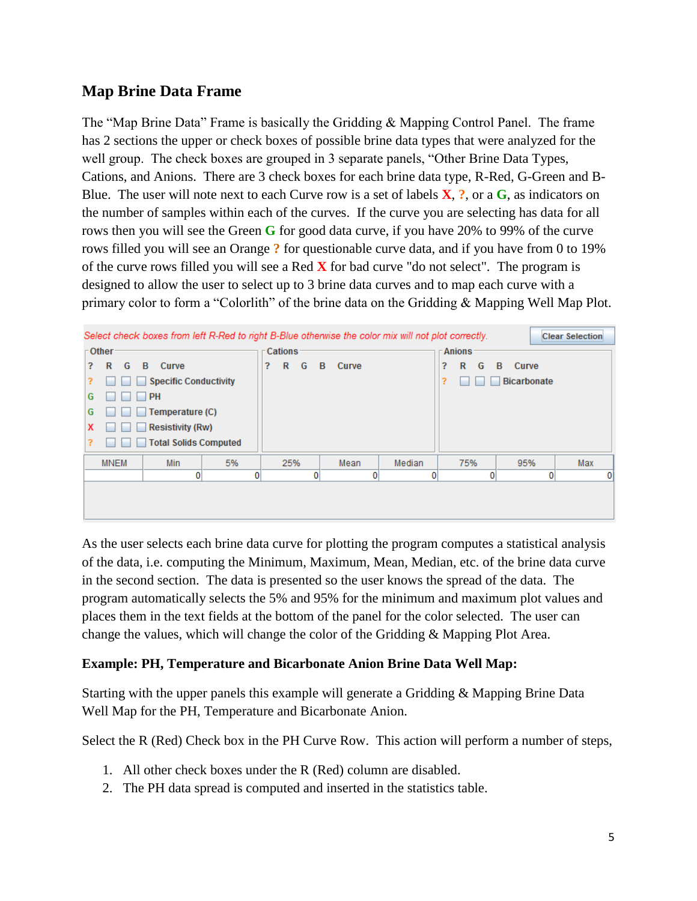## **Map Brine Data Frame**

The "Map Brine Data" Frame is basically the Gridding & Mapping Control Panel. The frame has 2 sections the upper or check boxes of possible brine data types that were analyzed for the well group. The check boxes are grouped in 3 separate panels, "Other Brine Data Types, Cations, and Anions. There are 3 check boxes for each brine data type, R-Red, G-Green and B-Blue. The user will note next to each Curve row is a set of labels **X**, **?**, or a **G**, as indicators on the number of samples within each of the curves. If the curve you are selecting has data for all rows then you will see the Green **G** for good data curve, if you have 20% to 99% of the curve rows filled you will see an Orange **?** for questionable curve data, and if you have from 0 to 19% of the curve rows filled you will see a Red **X** for bad curve "do not select". The program is designed to allow the user to select up to 3 brine data curves and to map each curve with a primary color to form a "Colorlith" of the brine data on the Gridding & Mapping Well Map Plot.



As the user selects each brine data curve for plotting the program computes a statistical analysis of the data, i.e. computing the Minimum, Maximum, Mean, Median, etc. of the brine data curve in the second section. The data is presented so the user knows the spread of the data. The program automatically selects the 5% and 95% for the minimum and maximum plot values and places them in the text fields at the bottom of the panel for the color selected. The user can change the values, which will change the color of the Gridding & Mapping Plot Area.

#### **Example: PH, Temperature and Bicarbonate Anion Brine Data Well Map:**

Starting with the upper panels this example will generate a Gridding & Mapping Brine Data Well Map for the PH, Temperature and Bicarbonate Anion.

Select the R (Red) Check box in the PH Curve Row. This action will perform a number of steps,

- 1. All other check boxes under the R (Red) column are disabled.
- 2. The PH data spread is computed and inserted in the statistics table.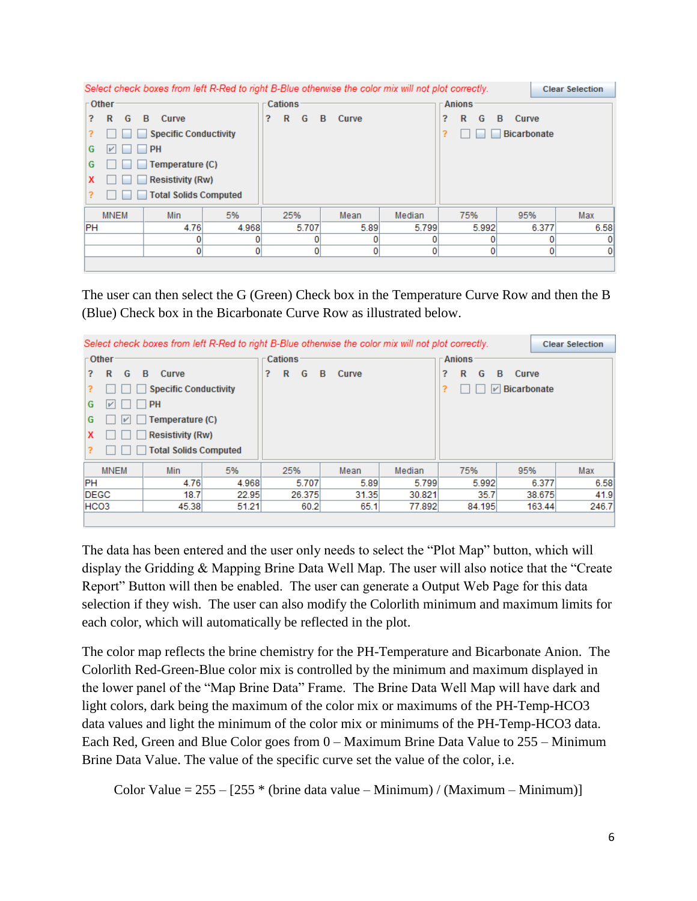| Select check boxes from left R-Red to right B-Blue otherwise the color mix will not plot correctly. |                                          |   |                   |       |   |        |   |       | <b>Clear Selection</b> |   |        |                    |       |      |
|-----------------------------------------------------------------------------------------------------|------------------------------------------|---|-------------------|-------|---|--------|---|-------|------------------------|---|--------|--------------------|-------|------|
|                                                                                                     | Other<br><b>Cations</b><br><b>Anions</b> |   |                   |       |   |        |   |       |                        |   |        |                    |       |      |
| 2.                                                                                                  | R                                        | G | Curve<br><b>B</b> |       | ? | G<br>R | B | Curve |                        | ? | R<br>G | Curve<br>B         |       |      |
|                                                                                                     | <b>Specific Conductivity</b>             |   |                   |       |   |        |   |       |                        |   |        | <b>Bicarbonate</b> |       |      |
| G                                                                                                   |                                          |   | <b>PH</b>         |       |   |        |   |       |                        |   |        |                    |       |      |
| G                                                                                                   |                                          |   | Temperature (C)   |       |   |        |   |       |                        |   |        |                    |       |      |
| x                                                                                                   | <b>Resistivity (Rw)</b>                  |   |                   |       |   |        |   |       |                        |   |        |                    |       |      |
| ?                                                                                                   | <b>Total Solids Computed</b>             |   |                   |       |   |        |   |       |                        |   |        |                    |       |      |
|                                                                                                     | <b>MNEM</b>                              |   | Min               | 5%    |   | 25%    |   | Mean  | Median                 |   | 75%    | 95%                |       | Max  |
| <b>PH</b>                                                                                           |                                          |   | 4.76              | 4.968 |   | 5.707  |   | 5.89  | 5.799                  |   | 5.992  |                    | 6.377 | 6.58 |
|                                                                                                     |                                          |   |                   | 0     |   |        |   |       |                        |   |        |                    | n     | 0    |
|                                                                                                     |                                          |   | 0                 | 0     |   |        |   |       |                        |   | 0      |                    | 0     | 0    |
|                                                                                                     |                                          |   |                   |       |   |        |   |       |                        |   |        |                    |       |      |

The user can then select the G (Green) Check box in the Temperature Curve Row and then the B (Blue) Check box in the Bicarbonate Curve Row as illustrated below.

| Select check boxes from left R-Red to right B-Blue otherwise the color mix will not plot correctly. |            |         |   |        |    |               |        |             | <b>Clear Selection</b>      |               |
|-----------------------------------------------------------------------------------------------------|------------|---------|---|--------|----|---------------|--------|-------------|-----------------------------|---------------|
| $\mathsf{\Gamma}$ Other                                                                             |            | Cations |   |        |    | <b>Anions</b> |        |             |                             |               |
| R<br>G<br>?                                                                                         | B<br>Curve |         | ? | G<br>R | B. | Curve         |        | R<br>2<br>G | B<br>Curve                  |               |
| <b>Specific Conductivity</b>                                                                        |            |         |   |        |    |               |        | ?           | $\triangledown$ Bicarbonate |               |
| G<br>⊮                                                                                              | PH         |         |   |        |    |               |        |             |                             |               |
| Temperature (C)<br>G<br>M                                                                           |            |         |   |        |    |               |        |             |                             |               |
| x                                                                                                   |            |         |   |        |    |               |        |             |                             |               |
| ?                                                                                                   |            |         |   |        |    |               |        |             |                             |               |
| <b>MNEM</b>                                                                                         | Min        | 5%      |   | 25%    |    | Mean          | Median | 75%         | 95%                         | Max           |
| PH                                                                                                  | 4.76       | 4.968   |   | 5.707  |    | 5.89          | 5.799  | 5.992       |                             | 6.58<br>6.377 |
| <b>DEGC</b>                                                                                         | 18.7       | 22.95   |   | 26.375 |    | 31.35         | 30.821 | 35.7        | 38.675                      | 41.9          |
| HCO <sub>3</sub>                                                                                    | 45.38      | 51.21   |   | 60.2   |    | 65.1          | 77.892 | 84.195      | 163.44                      | 246.7         |
|                                                                                                     |            |         |   |        |    |               |        |             |                             |               |

The data has been entered and the user only needs to select the "Plot Map" button, which will display the Gridding & Mapping Brine Data Well Map. The user will also notice that the "Create Report" Button will then be enabled. The user can generate a Output Web Page for this data selection if they wish. The user can also modify the Colorlith minimum and maximum limits for each color, which will automatically be reflected in the plot.

The color map reflects the brine chemistry for the PH-Temperature and Bicarbonate Anion. The Colorlith Red-Green-Blue color mix is controlled by the minimum and maximum displayed in the lower panel of the "Map Brine Data" Frame. The Brine Data Well Map will have dark and light colors, dark being the maximum of the color mix or maximums of the PH-Temp-HCO3 data values and light the minimum of the color mix or minimums of the PH-Temp-HCO3 data. Each Red, Green and Blue Color goes from 0 – Maximum Brine Data Value to 255 – Minimum Brine Data Value. The value of the specific curve set the value of the color, i.e.

Color Value =  $255 - [255 * (brine data value - Minimum) / (Maximum - Minimum)]$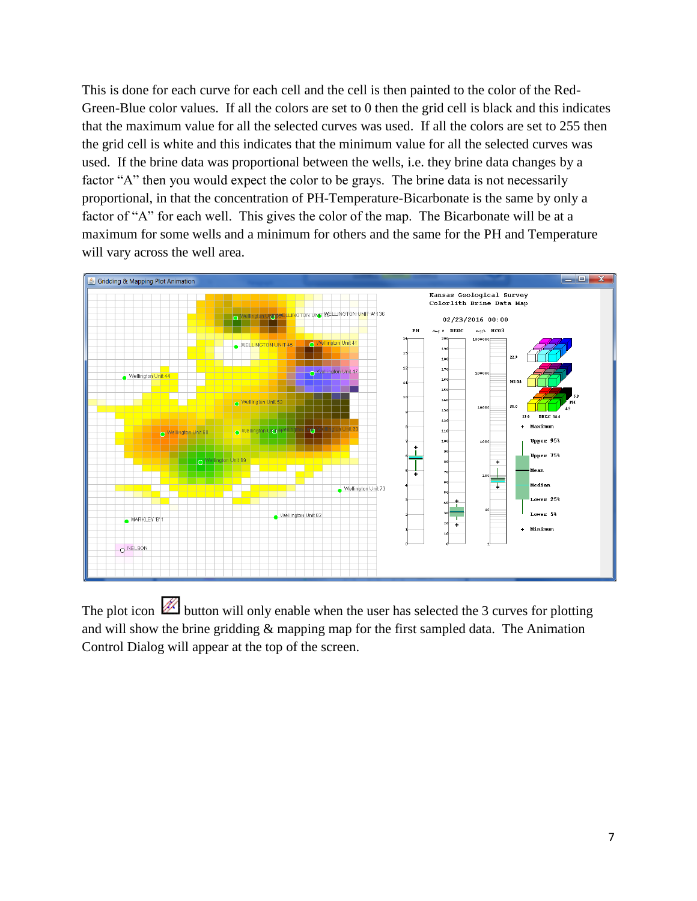This is done for each curve for each cell and the cell is then painted to the color of the Red-Green-Blue color values. If all the colors are set to 0 then the grid cell is black and this indicates that the maximum value for all the selected curves was used. If all the colors are set to 255 then the grid cell is white and this indicates that the minimum value for all the selected curves was used. If the brine data was proportional between the wells, i.e. they brine data changes by a factor "A" then you would expect the color to be grays. The brine data is not necessarily proportional, in that the concentration of PH-Temperature-Bicarbonate is the same by only a factor of "A" for each well. This gives the color of the map. The Bicarbonate will be at a maximum for some wells and a minimum for others and the same for the PH and Temperature will vary across the well area.



The plot icon  $\mathbb{Z}$  button will only enable when the user has selected the 3 curves for plotting and will show the brine gridding & mapping map for the first sampled data. The Animation Control Dialog will appear at the top of the screen.